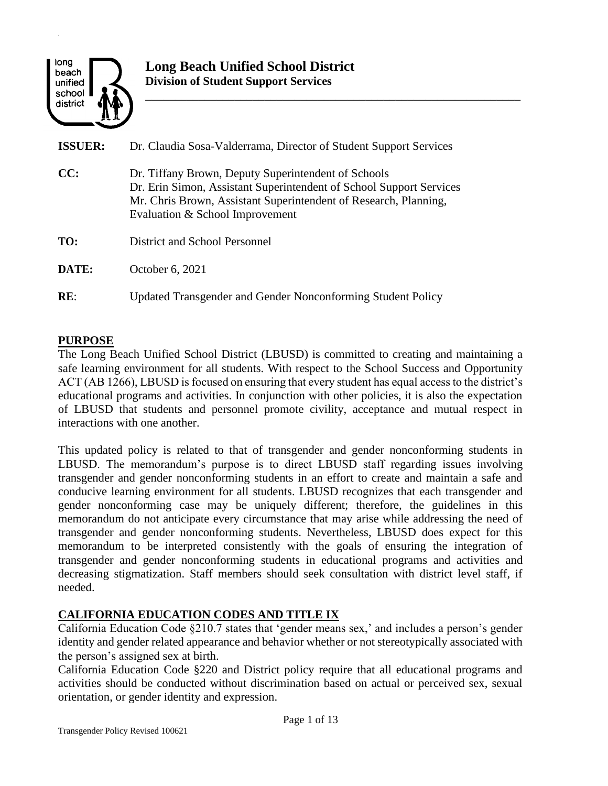

\_\_\_\_\_\_\_\_\_\_\_\_\_\_\_\_\_\_\_\_\_\_\_\_\_\_\_\_\_\_\_\_\_\_\_\_\_\_\_\_\_\_\_\_\_\_\_\_\_\_\_\_\_\_\_\_\_\_\_\_\_\_\_

| <b>ISSUER:</b> | Dr. Claudia Sosa-Valderrama, Director of Student Support Services                                                                                                                                                                 |
|----------------|-----------------------------------------------------------------------------------------------------------------------------------------------------------------------------------------------------------------------------------|
| CC:            | Dr. Tiffany Brown, Deputy Superintendent of Schools<br>Dr. Erin Simon, Assistant Superintendent of School Support Services<br>Mr. Chris Brown, Assistant Superintendent of Research, Planning,<br>Evaluation & School Improvement |
| TO:            | District and School Personnel                                                                                                                                                                                                     |
| DATE:          | October 6, 2021                                                                                                                                                                                                                   |
| RE:            | Updated Transgender and Gender Nonconforming Student Policy                                                                                                                                                                       |

#### **PURPOSE**

The Long Beach Unified School District (LBUSD) is committed to creating and maintaining a safe learning environment for all students. With respect to the School Success and Opportunity ACT (AB 1266), LBUSD is focused on ensuring that every student has equal access to the district's educational programs and activities. In conjunction with other policies, it is also the expectation of LBUSD that students and personnel promote civility, acceptance and mutual respect in interactions with one another.

This updated policy is related to that of transgender and gender nonconforming students in LBUSD. The memorandum's purpose is to direct LBUSD staff regarding issues involving transgender and gender nonconforming students in an effort to create and maintain a safe and conducive learning environment for all students. LBUSD recognizes that each transgender and gender nonconforming case may be uniquely different; therefore, the guidelines in this memorandum do not anticipate every circumstance that may arise while addressing the need of transgender and gender nonconforming students. Nevertheless, LBUSD does expect for this memorandum to be interpreted consistently with the goals of ensuring the integration of transgender and gender nonconforming students in educational programs and activities and decreasing stigmatization. Staff members should seek consultation with district level staff, if needed.

## **CALIFORNIA EDUCATION CODES AND TITLE IX**

California Education Code §210.7 states that 'gender means sex,' and includes a person's gender identity and gender related appearance and behavior whether or not stereotypically associated with the person's assigned sex at birth.

California Education Code §220 and District policy require that all educational programs and activities should be conducted without discrimination based on actual or perceived sex, sexual orientation, or gender identity and expression.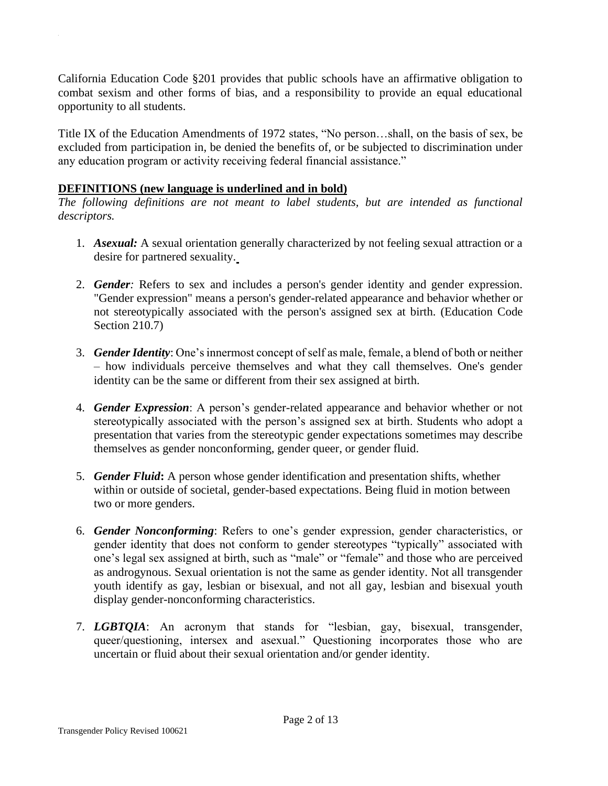California Education Code §201 provides that public schools have an affirmative obligation to combat sexism and other forms of bias, and a responsibility to provide an equal educational opportunity to all students.

Title IX of the Education Amendments of 1972 states, "No person…shall, on the basis of sex, be excluded from participation in, be denied the benefits of, or be subjected to discrimination under any education program or activity receiving federal financial assistance."

### **DEFINITIONS (new language is underlined and in bold)**

*The following definitions are not meant to label students, but are intended as functional descriptors.*

- 1. *Asexual:* A sexual orientation generally characterized by not feeling sexual attraction or a desire for partnered sexuality.
- 2. *Gender:* Refers to sex and includes a person's gender identity and gender expression. "Gender expression" means a person's gender-related appearance and behavior whether or not stereotypically associated with the person's assigned sex at birth. (Education Code Section 210.7)
- 3. *Gender Identity*: One's innermost concept of self as male, female, a blend of both or neither – how individuals perceive themselves and what they call themselves. One's gender identity can be the same or different from their sex assigned at birth.
- 4. *Gender Expression*: A person's gender-related appearance and behavior whether or not stereotypically associated with the person's assigned sex at birth. Students who adopt a presentation that varies from the stereotypic gender expectations sometimes may describe themselves as gender nonconforming, gender queer, or gender fluid.
- 5. *Gender Fluid***:** A person whose gender identification and presentation shifts, whether within or outside of societal, gender-based expectations. Being fluid in motion between two or more genders.
- 6. *Gender Nonconforming*: Refers to one's gender expression, gender characteristics, or gender identity that does not conform to gender stereotypes "typically" associated with one's legal sex assigned at birth, such as "male" or "female" and those who are perceived as androgynous. Sexual orientation is not the same as gender identity. Not all transgender youth identify as gay, lesbian or bisexual, and not all gay, lesbian and bisexual youth display gender-nonconforming characteristics.
- 7. *LGBTQIA*: An acronym that stands for "lesbian, gay, bisexual, transgender, queer/questioning, intersex and asexual." Questioning incorporates those who are uncertain or fluid about their sexual orientation and/or gender identity.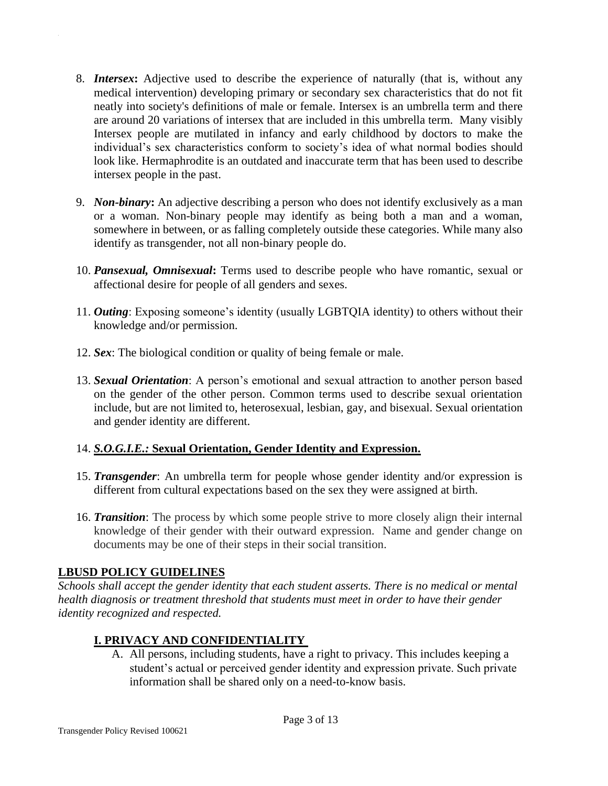- 8. *Intersex***:** Adjective used to describe the experience of naturally (that is, without any medical intervention) developing primary or secondary sex characteristics that do not fit neatly into society's definitions of male or female. Intersex is an umbrella term and there are around 20 variations of intersex that are included in this umbrella term. Many visibly Intersex people are mutilated in infancy and early childhood by doctors to make the individual's sex characteristics conform to society's idea of what normal bodies should look like. Hermaphrodite is an outdated and inaccurate term that has been used to describe intersex people in the past.
- 9. *Non-binary***:** An adjective describing a person who does not identify exclusively as a man or a woman. Non-binary people may identify as being both a man and a woman, somewhere in between, or as falling completely outside these categories. While many also identify as transgender, not all non-binary people do.
- 10. *Pansexual, Omnisexual***:** Terms used to describe people who have romantic, sexual or affectional desire for people of all genders and sexes.
- 11. *Outing*: Exposing someone's identity (usually LGBTQIA identity) to others without their knowledge and/or permission.
- 12. *Sex*: The biological condition or quality of being female or male.
- 13. *Sexual Orientation*: A person's emotional and sexual attraction to another person based on the gender of the other person. Common terms used to describe sexual orientation include, but are not limited to, heterosexual, lesbian, gay, and bisexual. Sexual orientation and gender identity are different.

## 14. *S.O.G.I.E.:* **Sexual Orientation, Gender Identity and Expression.**

- 15. *Transgender*: An umbrella term for people whose gender identity and/or expression is different from cultural expectations based on the sex they were assigned at birth.
- 16. *Transition*: The process by which some people strive to more closely align their internal knowledge of their gender with their outward expression. Name and gender change on documents may be one of their steps in their social transition.

#### **LBUSD POLICY GUIDELINES**

*Schools shall accept the gender identity that each student asserts. There is no medical or mental health diagnosis or treatment threshold that students must meet in order to have their gender identity recognized and respected.* 

## **I. PRIVACY AND CONFIDENTIALITY**

A. All persons, including students, have a right to privacy. This includes keeping a student's actual or perceived gender identity and expression private. Such private information shall be shared only on a need-to-know basis.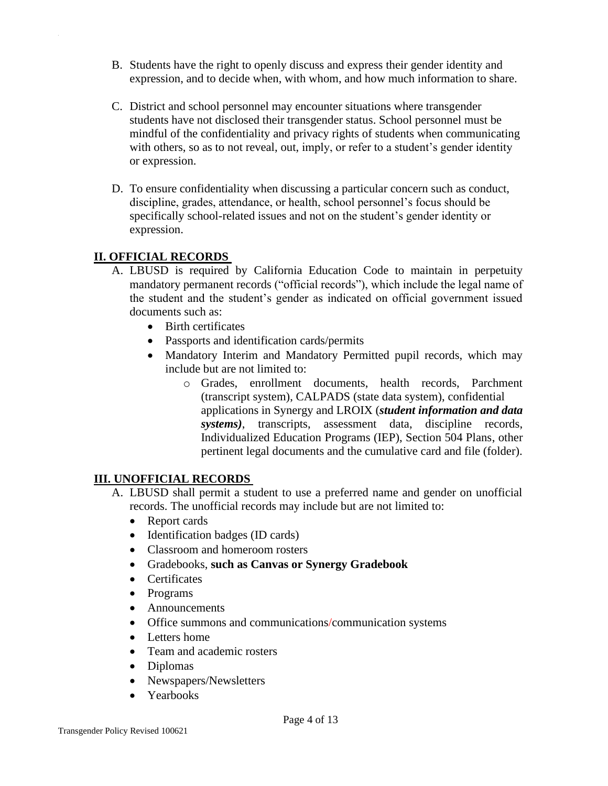- B. Students have the right to openly discuss and express their gender identity and expression, and to decide when, with whom, and how much information to share.
- C. District and school personnel may encounter situations where transgender students have not disclosed their transgender status. School personnel must be mindful of the confidentiality and privacy rights of students when communicating with others, so as to not reveal, out, imply, or refer to a student's gender identity or expression.
- D. To ensure confidentiality when discussing a particular concern such as conduct, discipline, grades, attendance, or health, school personnel's focus should be specifically school-related issues and not on the student's gender identity or expression.

# **II. OFFICIAL RECORDS**

- A. LBUSD is required by California Education Code to maintain in perpetuity mandatory permanent records ("official records"), which include the legal name of the student and the student's gender as indicated on official government issued documents such as:
	- Birth certificates
	- Passports and identification cards/permits
	- Mandatory Interim and Mandatory Permitted pupil records, which may include but are not limited to:
		- o Grades, enrollment documents, health records, Parchment (transcript system), CALPADS (state data system), confidential applications in Synergy and LROIX (*student information and data systems)*, transcripts, assessment data, discipline records, Individualized Education Programs (IEP), Section 504 Plans, other pertinent legal documents and the cumulative card and file (folder).

## **III. UNOFFICIAL RECORDS**

- A. LBUSD shall permit a student to use a preferred name and gender on unofficial records. The unofficial records may include but are not limited to:
	- Report cards
	- Identification badges (ID cards)
	- Classroom and homeroom rosters
	- Gradebooks, **such as Canvas or Synergy Gradebook**
	- Certificates
	- Programs
	- Announcements
	- Office summons and communications/communication systems
	- Letters home
	- Team and academic rosters
	- Diplomas
	- Newspapers/Newsletters
	- Yearbooks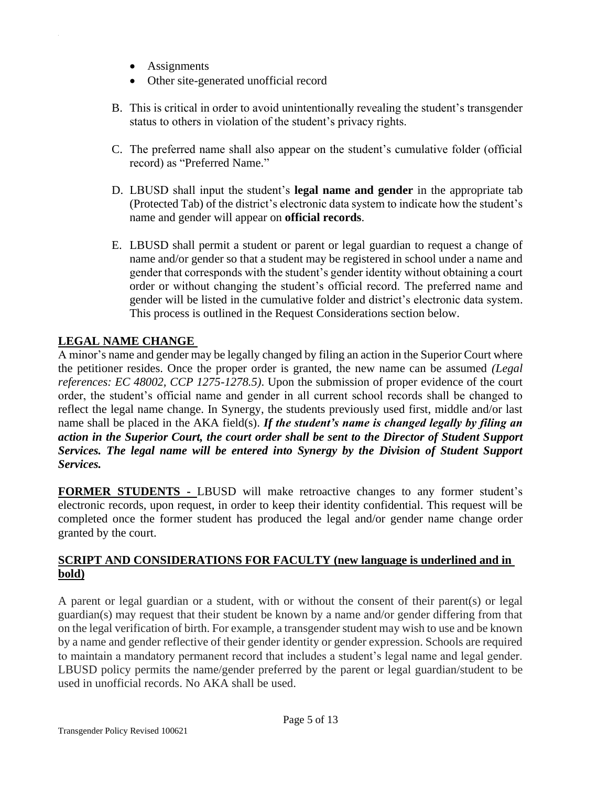- Assignments
- Other site-generated unofficial record
- B. This is critical in order to avoid unintentionally revealing the student's transgender status to others in violation of the student's privacy rights.
- C. The preferred name shall also appear on the student's cumulative folder (official record) as "Preferred Name."
- D. LBUSD shall input the student's **legal name and gender** in the appropriate tab (Protected Tab) of the district's electronic data system to indicate how the student's name and gender will appear on **official records**.
- E. LBUSD shall permit a student or parent or legal guardian to request a change of name and/or gender so that a student may be registered in school under a name and gender that corresponds with the student's gender identity without obtaining a court order or without changing the student's official record. The preferred name and gender will be listed in the cumulative folder and district's electronic data system. This process is outlined in the Request Considerations section below.

# **LEGAL NAME CHANGE**

A minor's name and gender may be legally changed by filing an action in the Superior Court where the petitioner resides. Once the proper order is granted, the new name can be assumed *(Legal references: EC 48002, CCP 1275-1278.5)*. Upon the submission of proper evidence of the court order, the student's official name and gender in all current school records shall be changed to reflect the legal name change. In Synergy, the students previously used first, middle and/or last name shall be placed in the AKA field(s). *If the student's name is changed legally by filing an action in the Superior Court, the court order shall be sent to the Director of Student Support Services. The legal name will be entered into Synergy by the Division of Student Support Services.*

**FORMER STUDENTS -** LBUSD will make retroactive changes to any former student's electronic records, upon request, in order to keep their identity confidential. This request will be completed once the former student has produced the legal and/or gender name change order granted by the court.

### **SCRIPT AND CONSIDERATIONS FOR FACULTY (new language is underlined and in bold)**

A parent or legal guardian or a student, with or without the consent of their parent(s) or legal guardian(s) may request that their student be known by a name and/or gender differing from that on the legal verification of birth. For example, a transgender student may wish to use and be known by a name and gender reflective of their gender identity or gender expression. Schools are required to maintain a mandatory permanent record that includes a student's legal name and legal gender. LBUSD policy permits the name/gender preferred by the parent or legal guardian/student to be used in unofficial records. No AKA shall be used.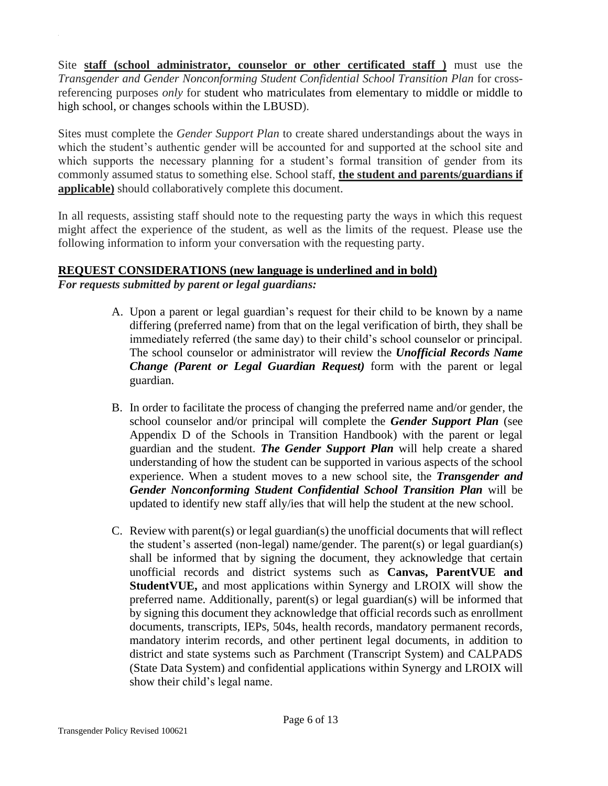Site **staff (school administrator, counselor or other certificated staff )** must use the *Transgender and Gender Nonconforming Student Confidential School Transition Plan* for crossreferencing purposes *only* for student who matriculates from elementary to middle or middle to high school, or changes schools within the LBUSD).

Sites must complete the *Gender Support Plan* to create shared understandings about the ways in which the student's authentic gender will be accounted for and supported at the school site and which supports the necessary planning for a student's formal transition of gender from its commonly assumed status to something else. School staff, **the student and parents/guardians if applicable)** should collaboratively complete this document.

In all requests, assisting staff should note to the requesting party the ways in which this request might affect the experience of the student, as well as the limits of the request. Please use the following information to inform your conversation with the requesting party.

## **REQUEST CONSIDERATIONS (new language is underlined and in bold)**

*For requests submitted by parent or legal guardians:*

- A. Upon a parent or legal guardian's request for their child to be known by a name differing (preferred name) from that on the legal verification of birth, they shall be immediately referred (the same day) to their child's school counselor or principal. The school counselor or administrator will review the *Unofficial Records Name Change (Parent or Legal Guardian Request)* form with the parent or legal guardian.
- B. In order to facilitate the process of changing the preferred name and/or gender, the school counselor and/or principal will complete the *Gender Support Plan* (see Appendix D of the Schools in Transition Handbook) with the parent or legal guardian and the student. *The Gender Support Plan* will help create a shared understanding of how the student can be supported in various aspects of the school experience. When a student moves to a new school site, the *Transgender and Gender Nonconforming Student Confidential School Transition Plan* will be updated to identify new staff ally/ies that will help the student at the new school.
- C. Review with parent(s) or legal guardian(s) the unofficial documents that will reflect the student's asserted (non-legal) name/gender. The parent(s) or legal guardian(s) shall be informed that by signing the document, they acknowledge that certain unofficial records and district systems such as **Canvas, ParentVUE and StudentVUE,** and most applications within Synergy and LROIX will show the preferred name. Additionally, parent(s) or legal guardian(s) will be informed that by signing this document they acknowledge that official records such as enrollment documents, transcripts, IEPs, 504s, health records, mandatory permanent records, mandatory interim records, and other pertinent legal documents, in addition to district and state systems such as Parchment (Transcript System) and CALPADS (State Data System) and confidential applications within Synergy and LROIX will show their child's legal name.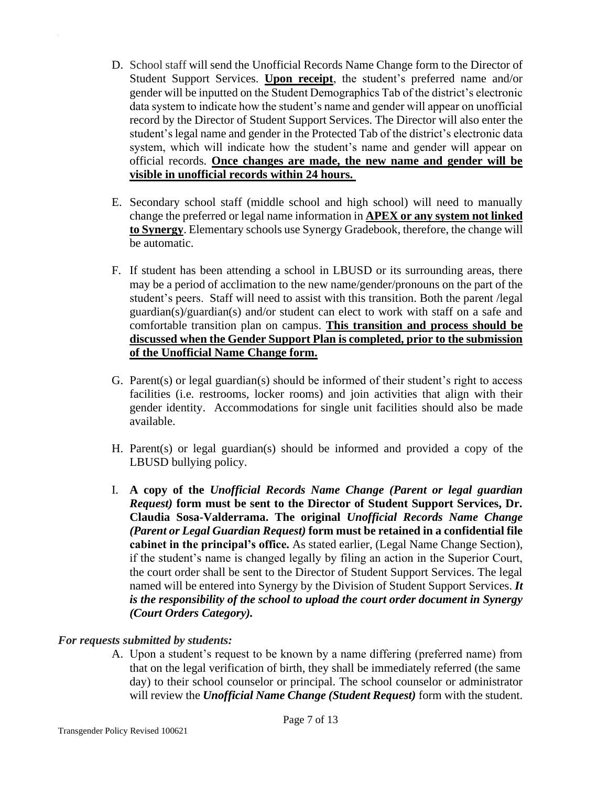- D. School staff will send the Unofficial Records Name Change form to the Director of Student Support Services. **Upon receipt**, the student's preferred name and/or gender will be inputted on the Student Demographics Tab of the district's electronic data system to indicate how the student's name and gender will appear on unofficial record by the Director of Student Support Services. The Director will also enter the student's legal name and gender in the Protected Tab of the district's electronic data system, which will indicate how the student's name and gender will appear on official records. **Once changes are made, the new name and gender will be visible in unofficial records within 24 hours.**
- E. Secondary school staff (middle school and high school) will need to manually change the preferred or legal name information in **APEX or any system not linked to Synergy**. Elementary schools use Synergy Gradebook, therefore, the change will be automatic.
- F. If student has been attending a school in LBUSD or its surrounding areas, there may be a period of acclimation to the new name/gender/pronouns on the part of the student's peers. Staff will need to assist with this transition. Both the parent /legal guardian(s)/guardian(s) and/or student can elect to work with staff on a safe and comfortable transition plan on campus. **This transition and process should be discussed when the Gender Support Plan is completed, prior to the submission of the Unofficial Name Change form.**
- G. Parent(s) or legal guardian(s) should be informed of their student's right to access facilities (i.e. restrooms, locker rooms) and join activities that align with their gender identity. Accommodations for single unit facilities should also be made available.
- H. Parent(s) or legal guardian(s) should be informed and provided a copy of the LBUSD bullying policy.
- I. **A copy of the** *Unofficial Records Name Change (Parent or legal guardian Request)* **form must be sent to the Director of Student Support Services, Dr. Claudia Sosa-Valderrama. The original** *Unofficial Records Name Change (Parent or Legal Guardian Request)* **form must be retained in a confidential file cabinet in the principal's office.** As stated earlier, (Legal Name Change Section), if the student's name is changed legally by filing an action in the Superior Court, the court order shall be sent to the Director of Student Support Services. The legal named will be entered into Synergy by the Division of Student Support Services. *It is the responsibility of the school to upload the court order document in Synergy (Court Orders Category).*

#### *For requests submitted by students:*

A. Upon a student's request to be known by a name differing (preferred name) from that on the legal verification of birth, they shall be immediately referred (the same day) to their school counselor or principal. The school counselor or administrator will review the *Unofficial Name Change (Student Request)* form with the student.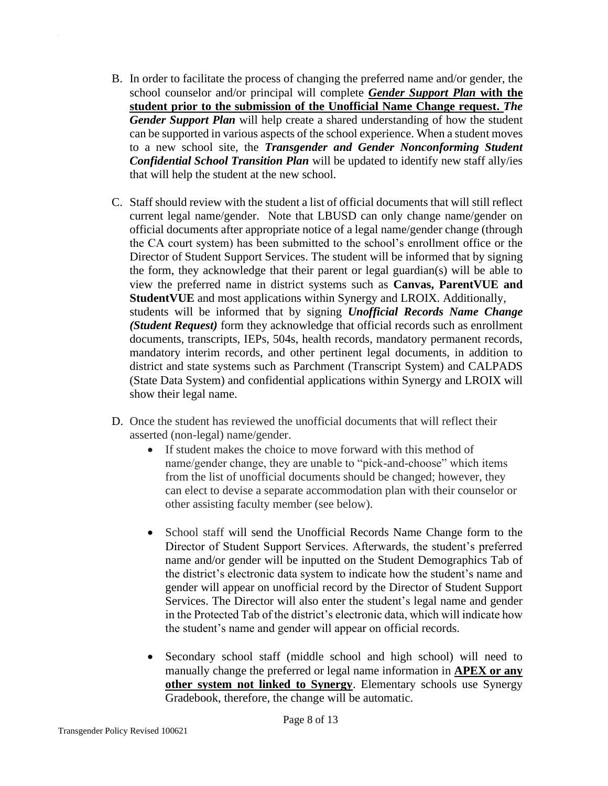- B. In order to facilitate the process of changing the preferred name and/or gender, the school counselor and/or principal will complete *Gender Support Plan* **with the student prior to the submission of the Unofficial Name Change request.** *The Gender Support Plan* will help create a shared understanding of how the student can be supported in various aspects of the school experience. When a student moves to a new school site, the *Transgender and Gender Nonconforming Student Confidential School Transition Plan* will be updated to identify new staff ally/ies that will help the student at the new school.
- C. Staff should review with the student a list of official documents that will still reflect current legal name/gender. Note that LBUSD can only change name/gender on official documents after appropriate notice of a legal name/gender change (through the CA court system) has been submitted to the school's enrollment office or the Director of Student Support Services. The student will be informed that by signing the form, they acknowledge that their parent or legal guardian(s) will be able to view the preferred name in district systems such as **Canvas, ParentVUE and StudentVUE** and most applications within Synergy and LROIX. Additionally, students will be informed that by signing *Unofficial Records Name Change (Student Request)* form they acknowledge that official records such as enrollment documents, transcripts, IEPs, 504s, health records, mandatory permanent records, mandatory interim records, and other pertinent legal documents, in addition to district and state systems such as Parchment (Transcript System) and CALPADS (State Data System) and confidential applications within Synergy and LROIX will show their legal name.
- D. Once the student has reviewed the unofficial documents that will reflect their asserted (non-legal) name/gender.
	- If student makes the choice to move forward with this method of name/gender change, they are unable to "pick-and-choose" which items from the list of unofficial documents should be changed; however, they can elect to devise a separate accommodation plan with their counselor or other assisting faculty member (see below).
	- School staff will send the Unofficial Records Name Change form to the Director of Student Support Services. Afterwards, the student's preferred name and/or gender will be inputted on the Student Demographics Tab of the district's electronic data system to indicate how the student's name and gender will appear on unofficial record by the Director of Student Support Services. The Director will also enter the student's legal name and gender in the Protected Tab of the district's electronic data, which will indicate how the student's name and gender will appear on official records.
	- Secondary school staff (middle school and high school) will need to manually change the preferred or legal name information in **APEX or any other system not linked to Synergy**. Elementary schools use Synergy Gradebook, therefore, the change will be automatic.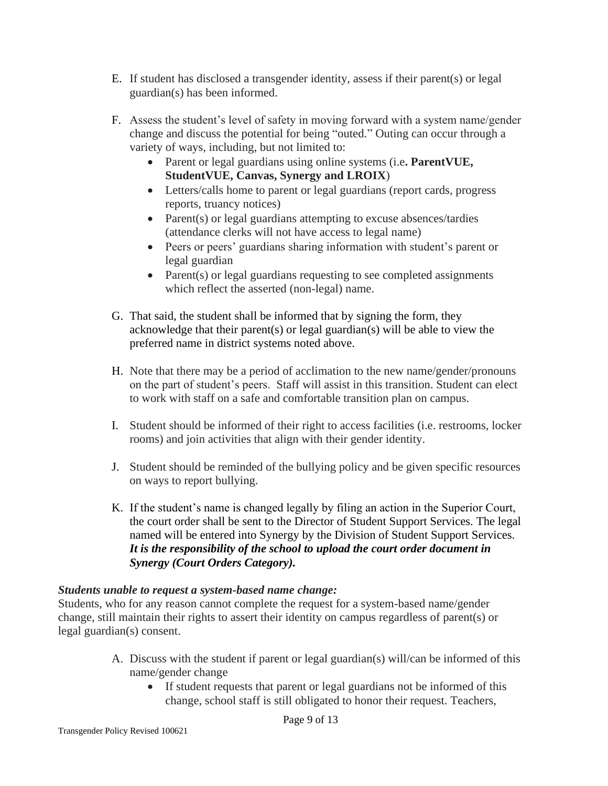- E. If student has disclosed a transgender identity, assess if their parent(s) or legal guardian(s) has been informed.
- F. Assess the student's level of safety in moving forward with a system name/gender change and discuss the potential for being "outed." Outing can occur through a variety of ways, including, but not limited to:
	- Parent or legal guardians using online systems (i.e**. ParentVUE, StudentVUE, Canvas, Synergy and LROIX**)
	- Letters/calls home to parent or legal guardians (report cards, progress reports, truancy notices)
	- Parent(s) or legal guardians attempting to excuse absences/tardies (attendance clerks will not have access to legal name)
	- Peers or peers' guardians sharing information with student's parent or legal guardian
	- Parent(s) or legal guardians requesting to see completed assignments which reflect the asserted (non-legal) name.
- G. That said, the student shall be informed that by signing the form, they acknowledge that their parent(s) or legal guardian(s) will be able to view the preferred name in district systems noted above.
- H. Note that there may be a period of acclimation to the new name/gender/pronouns on the part of student's peers. Staff will assist in this transition. Student can elect to work with staff on a safe and comfortable transition plan on campus.
- I. Student should be informed of their right to access facilities (i.e. restrooms, locker rooms) and join activities that align with their gender identity.
- J. Student should be reminded of the bullying policy and be given specific resources on ways to report bullying.
- K. If the student's name is changed legally by filing an action in the Superior Court, the court order shall be sent to the Director of Student Support Services. The legal named will be entered into Synergy by the Division of Student Support Services. *It is the responsibility of the school to upload the court order document in Synergy (Court Orders Category).*

# *Students unable to request a system-based name change:*

Students, who for any reason cannot complete the request for a system-based name/gender change, still maintain their rights to assert their identity on campus regardless of parent(s) or legal guardian(s) consent.

- A. Discuss with the student if parent or legal guardian(s) will/can be informed of this name/gender change
	- If student requests that parent or legal guardians not be informed of this change, school staff is still obligated to honor their request. Teachers,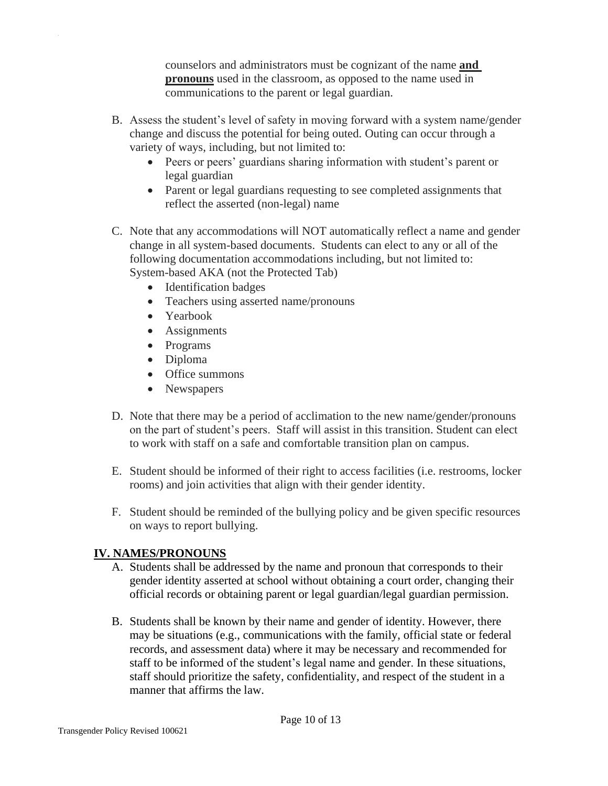counselors and administrators must be cognizant of the name **and pronouns** used in the classroom, as opposed to the name used in communications to the parent or legal guardian.

- B. Assess the student's level of safety in moving forward with a system name/gender change and discuss the potential for being outed. Outing can occur through a variety of ways, including, but not limited to:
	- Peers or peers' guardians sharing information with student's parent or legal guardian
	- Parent or legal guardians requesting to see completed assignments that reflect the asserted (non-legal) name
- C. Note that any accommodations will NOT automatically reflect a name and gender change in all system-based documents. Students can elect to any or all of the following documentation accommodations including, but not limited to: System-based AKA (not the Protected Tab)
	- Identification badges
	- Teachers using asserted name/pronouns
	- Yearbook
	- Assignments
	- Programs
	- Diploma
	- Office summons
	- Newspapers
- D. Note that there may be a period of acclimation to the new name/gender/pronouns on the part of student's peers. Staff will assist in this transition. Student can elect to work with staff on a safe and comfortable transition plan on campus.
- E. Student should be informed of their right to access facilities (i.e. restrooms, locker rooms) and join activities that align with their gender identity.
- F. Student should be reminded of the bullying policy and be given specific resources on ways to report bullying.

# **IV. NAMES/PRONOUNS**

- A. Students shall be addressed by the name and pronoun that corresponds to their gender identity asserted at school without obtaining a court order, changing their official records or obtaining parent or legal guardian/legal guardian permission.
- B. Students shall be known by their name and gender of identity. However, there may be situations (e.g., communications with the family, official state or federal records, and assessment data) where it may be necessary and recommended for staff to be informed of the student's legal name and gender. In these situations, staff should prioritize the safety, confidentiality, and respect of the student in a manner that affirms the law.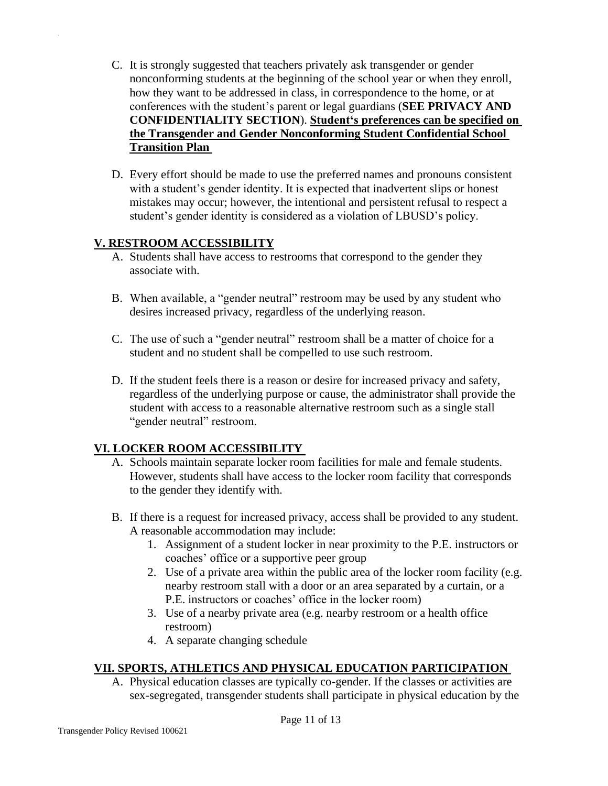- C. It is strongly suggested that teachers privately ask transgender or gender nonconforming students at the beginning of the school year or when they enroll, how they want to be addressed in class, in correspondence to the home, or at conferences with the student's parent or legal guardians (**SEE PRIVACY AND CONFIDENTIALITY SECTION**). **Student's preferences can be specified on the Transgender and Gender Nonconforming Student Confidential School Transition Plan**
- D. Every effort should be made to use the preferred names and pronouns consistent with a student's gender identity. It is expected that inadvertent slips or honest mistakes may occur; however, the intentional and persistent refusal to respect a student's gender identity is considered as a violation of LBUSD's policy.

## **V. RESTROOM ACCESSIBILITY**

- A. Students shall have access to restrooms that correspond to the gender they associate with.
- B. When available, a "gender neutral" restroom may be used by any student who desires increased privacy, regardless of the underlying reason.
- C. The use of such a "gender neutral" restroom shall be a matter of choice for a student and no student shall be compelled to use such restroom.
- D. If the student feels there is a reason or desire for increased privacy and safety, regardless of the underlying purpose or cause, the administrator shall provide the student with access to a reasonable alternative restroom such as a single stall "gender neutral" restroom.

## **VI. LOCKER ROOM ACCESSIBILITY**

- A. Schools maintain separate locker room facilities for male and female students. However, students shall have access to the locker room facility that corresponds to the gender they identify with.
- B. If there is a request for increased privacy, access shall be provided to any student. A reasonable accommodation may include:
	- 1. Assignment of a student locker in near proximity to the P.E. instructors or coaches' office or a supportive peer group
	- 2. Use of a private area within the public area of the locker room facility (e.g. nearby restroom stall with a door or an area separated by a curtain, or a P.E. instructors or coaches' office in the locker room)
	- 3. Use of a nearby private area (e.g. nearby restroom or a health office restroom)
	- 4. A separate changing schedule

# **VII. SPORTS, ATHLETICS AND PHYSICAL EDUCATION PARTICIPATION**

A. Physical education classes are typically co-gender. If the classes or activities are sex-segregated, transgender students shall participate in physical education by the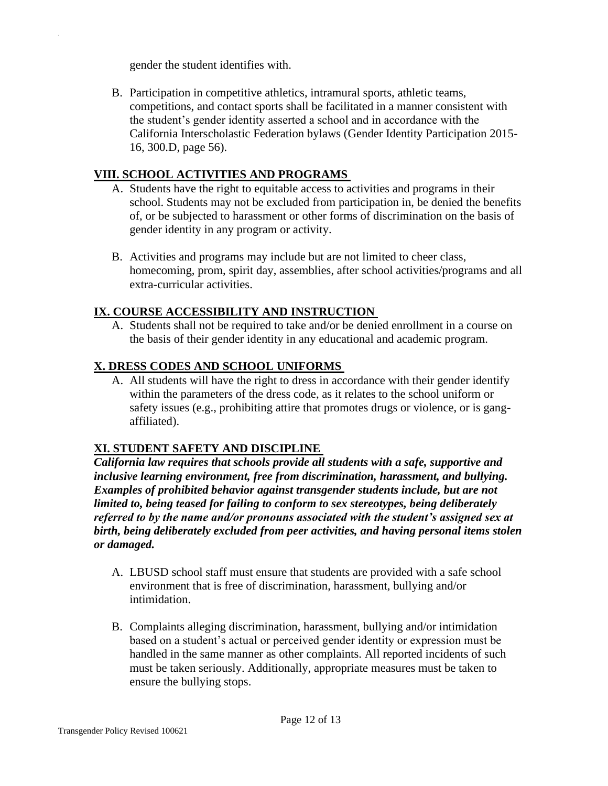gender the student identifies with.

B. Participation in competitive athletics, intramural sports, athletic teams, competitions, and contact sports shall be facilitated in a manner consistent with the student's gender identity asserted a school and in accordance with the California Interscholastic Federation bylaws (Gender Identity Participation 2015- 16, 300.D, page 56).

## **VIII. SCHOOL ACTIVITIES AND PROGRAMS**

- A. Students have the right to equitable access to activities and programs in their school. Students may not be excluded from participation in, be denied the benefits of, or be subjected to harassment or other forms of discrimination on the basis of gender identity in any program or activity.
- B. Activities and programs may include but are not limited to cheer class, homecoming, prom, spirit day, assemblies, after school activities/programs and all extra-curricular activities.

## **IX. COURSE ACCESSIBILITY AND INSTRUCTION**

A. Students shall not be required to take and/or be denied enrollment in a course on the basis of their gender identity in any educational and academic program.

### **X. DRESS CODES AND SCHOOL UNIFORMS**

A. All students will have the right to dress in accordance with their gender identify within the parameters of the dress code, as it relates to the school uniform or safety issues (e.g., prohibiting attire that promotes drugs or violence, or is gangaffiliated).

## **XI. STUDENT SAFETY AND DISCIPLINE**

*California law requires that schools provide all students with a safe, supportive and inclusive learning environment, free from discrimination, harassment, and bullying. Examples of prohibited behavior against transgender students include, but are not limited to, being teased for failing to conform to sex stereotypes, being deliberately referred to by the name and/or pronouns associated with the student's assigned sex at birth, being deliberately excluded from peer activities, and having personal items stolen or damaged.* 

- A. LBUSD school staff must ensure that students are provided with a safe school environment that is free of discrimination, harassment, bullying and/or intimidation.
- B. Complaints alleging discrimination, harassment, bullying and/or intimidation based on a student's actual or perceived gender identity or expression must be handled in the same manner as other complaints. All reported incidents of such must be taken seriously. Additionally, appropriate measures must be taken to ensure the bullying stops.